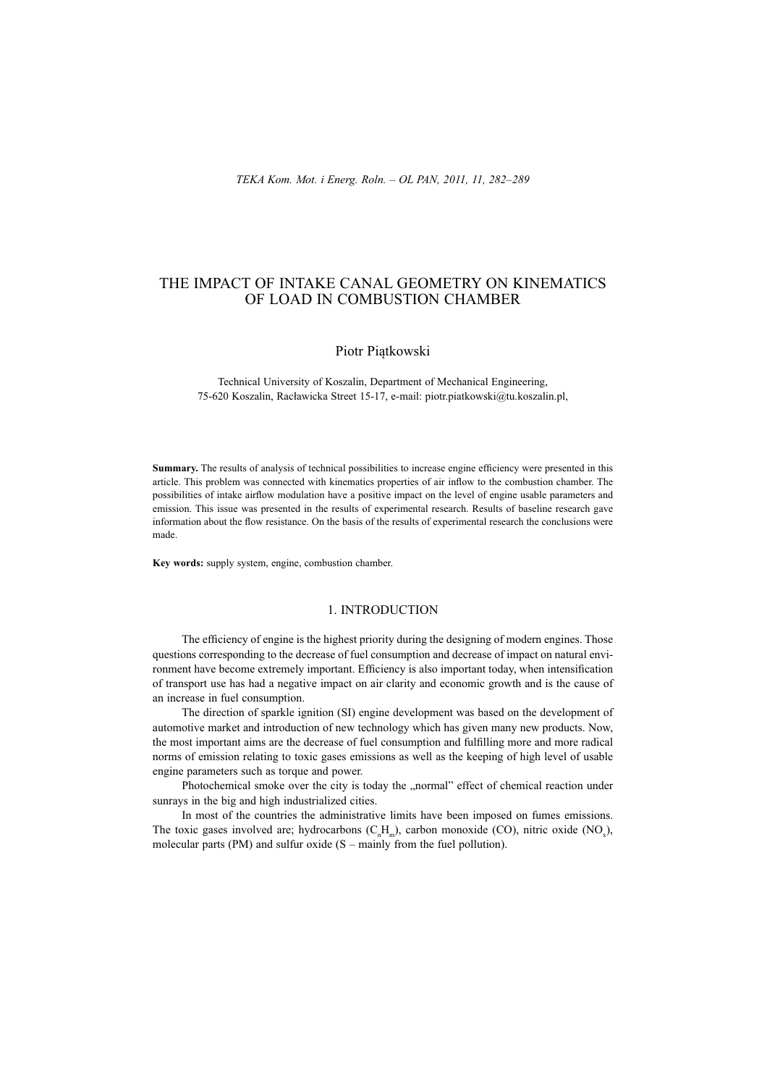# THE IMPACT OF INTAKE CANAL GEOMETRY ON KINEMATICS OF LOAD IN COMBUSTION CHAMBER

# Piotr Piątkowski

Technical University of Koszalin, Department of Mechanical Engineering, 75-620 Koszalin, Racáawicka Street 15-17, e-mail: piotr.piatkowski@tu.koszalin.pl,

**Summary.** The results of analysis of technical possibilities to increase engine efficiency were presented in this article. This problem was connected with kinematics properties of air inflow to the combustion chamber. The possibilities of intake airflow modulation have a positive impact on the level of engine usable parameters and emission. This issue was presented in the results of experimental research. Results of baseline research gave information about the flow resistance. On the basis of the results of experimental research the conclusions were made.

**Key words:** supply system, engine, combustion chamber.

# 1. INTRODUCTION

The efficiency of engine is the highest priority during the designing of modern engines. Those questions corresponding to the decrease of fuel consumption and decrease of impact on natural environment have become extremely important. Efficiency is also important today, when intensification of transport use has had a negative impact on air clarity and economic growth and is the cause of an increase in fuel consumption.

The direction of sparkle ignition (SI) engine development was based on the development of automotive market and introduction of new technology which has given many new products. Now, the most important aims are the decrease of fuel consumption and fulfilling more and more radical norms of emission relating to toxic gases emissions as well as the keeping of high level of usable engine parameters such as torque and power.

Photochemical smoke over the city is today the "normal" effect of chemical reaction under sunrays in the big and high industrialized cities.

In most of the countries the administrative limits have been imposed on fumes emissions. The toxic gases involved are; hydrocarbons  $(C_n^H_m)$ , carbon monoxide (CO), nitric oxide (NO<sub>x</sub>), molecular parts (PM) and sulfur oxide  $(S - \text{mainly from the fuel pollution})$ .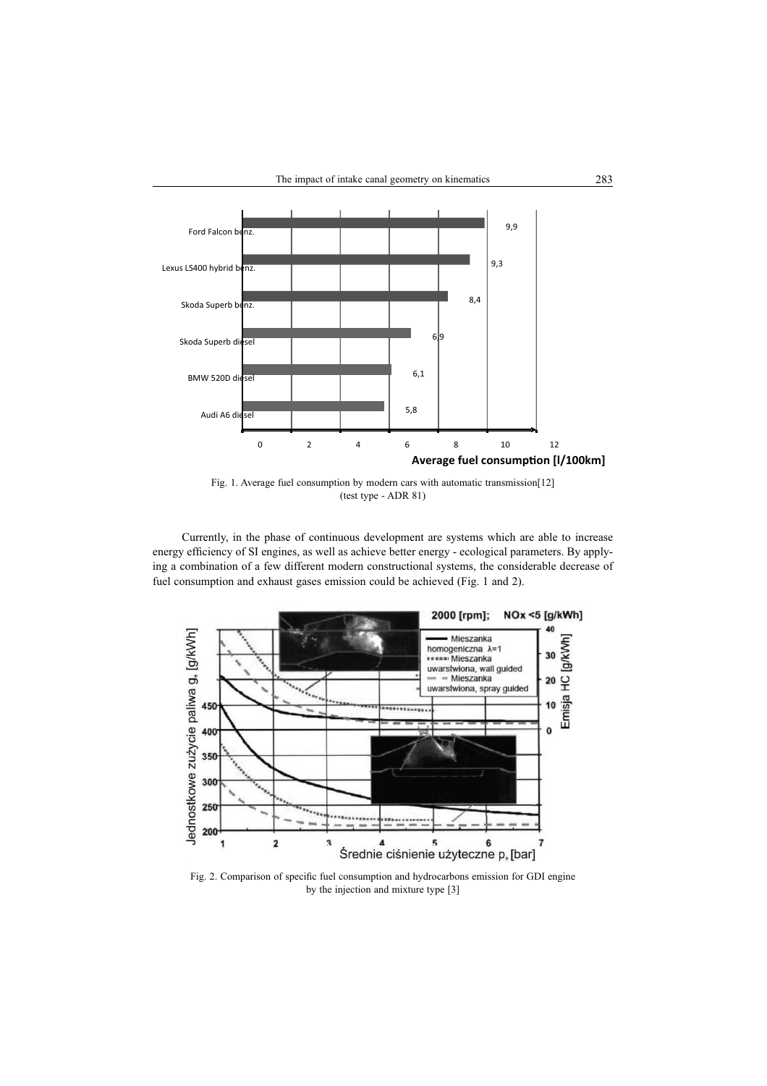

Fig. 1. Average fuel consumption by modern cars with automatic transmission[12] (test type - ADR 81)

Currently, in the phase of continuous development are systems which are able to increase energy efficiency of SI engines, as well as achieve better energy - ecological parameters. By applying a combination of a few different modern constructional systems, the considerable decrease of fuel consumption and exhaust gases emission could be achieved (Fig. 1 and 2).



Fig. 2. Comparison of specific fuel consumption and hydrocarbons emission for GDI engine by the injection and mixture type [3]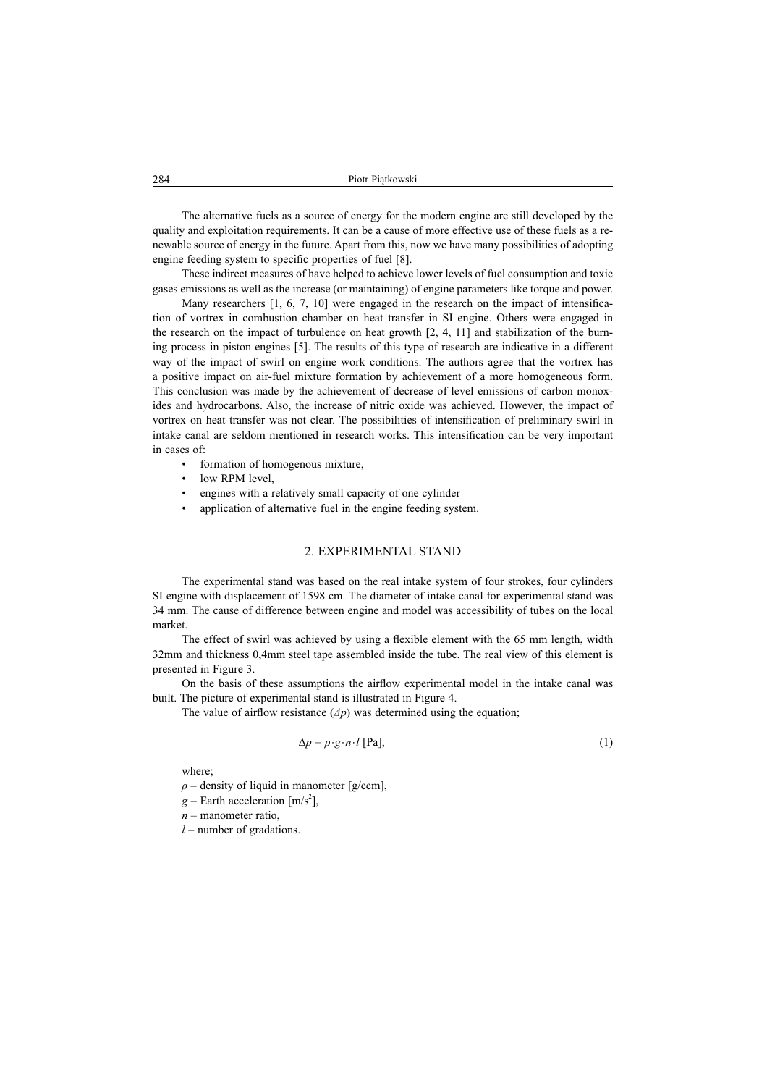The alternative fuels as a source of energy for the modern engine are still developed by the quality and exploitation requirements. It can be a cause of more effective use of these fuels as a renewable source of energy in the future. Apart from this, now we have many possibilities of adopting engine feeding system to specific properties of fuel [8].

These indirect measures of have helped to achieve lower levels of fuel consumption and toxic gases emissions as well as the increase (or maintaining) of engine parameters like torque and power.

Many researchers  $[1, 6, 7, 10]$  were engaged in the research on the impact of intensification of vortrex in combustion chamber on heat transfer in SI engine. Others were engaged in the research on the impact of turbulence on heat growth  $[2, 4, 11]$  and stabilization of the burning process in piston engines [5]. The results of this type of research are indicative in a different way of the impact of swirl on engine work conditions. The authors agree that the vortrex has a positive impact on air-fuel mixture formation by achievement of a more homogeneous form. This conclusion was made by the achievement of decrease of level emissions of carbon monoxides and hydrocarbons. Also, the increase of nitric oxide was achieved. However, the impact of vortrex on heat transfer was not clear. The possibilities of intensification of preliminary swirl in intake canal are seldom mentioned in research works. This intensification can be very important in cases of:

- formation of homogenous mixture,
- low RPM level.
- engines with a relatively small capacity of one cylinder
- application of alternative fuel in the engine feeding system.

#### 2. EXPERIMENTAL STAND

The experimental stand was based on the real intake system of four strokes, four cylinders SI engine with displacement of 1598 cm. The diameter of intake canal for experimental stand was 34 mm. The cause of difference between engine and model was accessibility of tubes on the local market.

The effect of swirl was achieved by using a flexible element with the 65 mm length, width 32mm and thickness 0,4mm steel tape assembled inside the tube. The real view of this element is presented in Figure 3.

On the basis of these assumptions the airflow experimental model in the intake canal was built. The picture of experimental stand is illustrated in Figure 4.

The value of airflow resistance  $(\Delta p)$  was determined using the equation;

$$
\Delta p = \rho \cdot g \cdot n \cdot l \text{ [Pa]},\tag{1}
$$

where;

 $\rho$  – density of liquid in manometer [g/ccm],

 $g$  – Earth acceleration  $[m/s^2]$ ,

*n* – manometer ratio,

*l* – number of gradations.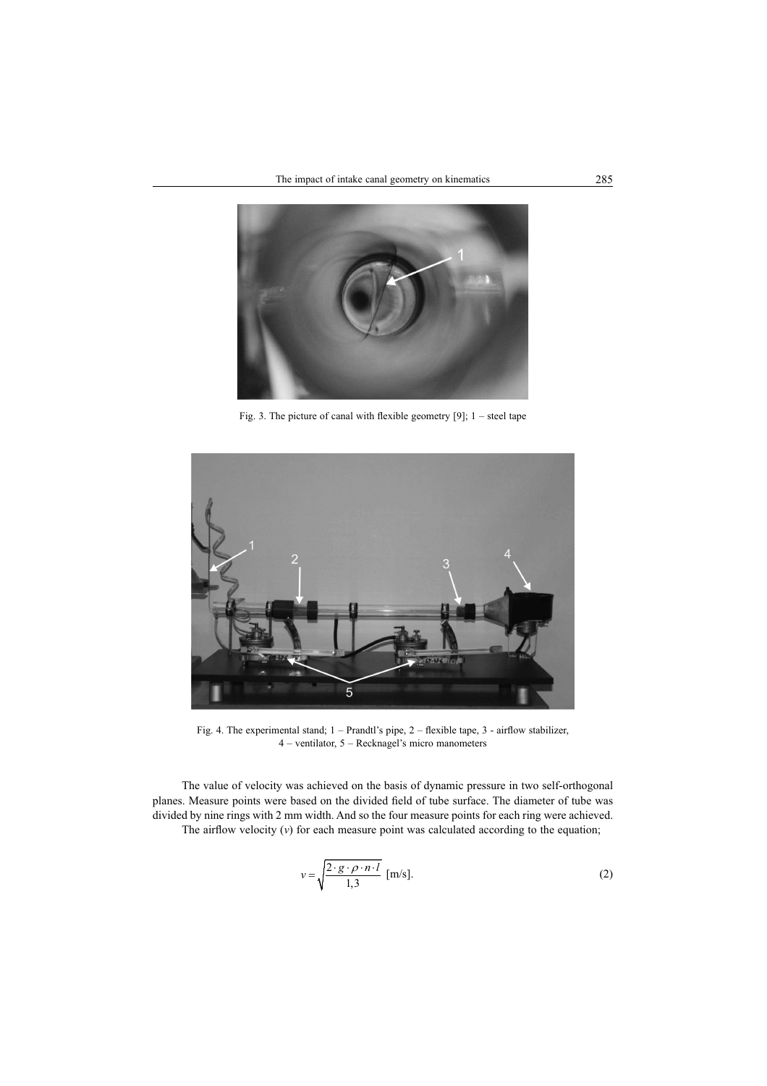

Fig. 3. The picture of canal with flexible geometry [9];  $1 -$  steel tape



Fig. 4. The experimental stand;  $1 - Prandt$ 's pipe,  $2 - f$ lexible tape,  $3 - airflow$  stabilizer, 4 – ventilator, 5 – Recknagel's micro manometers

The value of velocity was achieved on the basis of dynamic pressure in two self-orthogonal planes. Measure points were based on the divided field of tube surface. The diameter of tube was divided by nine rings with 2 mm width. And so the four measure points for each ring were achieved. The airflow velocity  $(v)$  for each measure point was calculated according to the equation;

$$
v = \sqrt{\frac{2 \cdot g \cdot \rho \cdot n \cdot l}{1,3}} \text{ [m/s]}.
$$
 (2)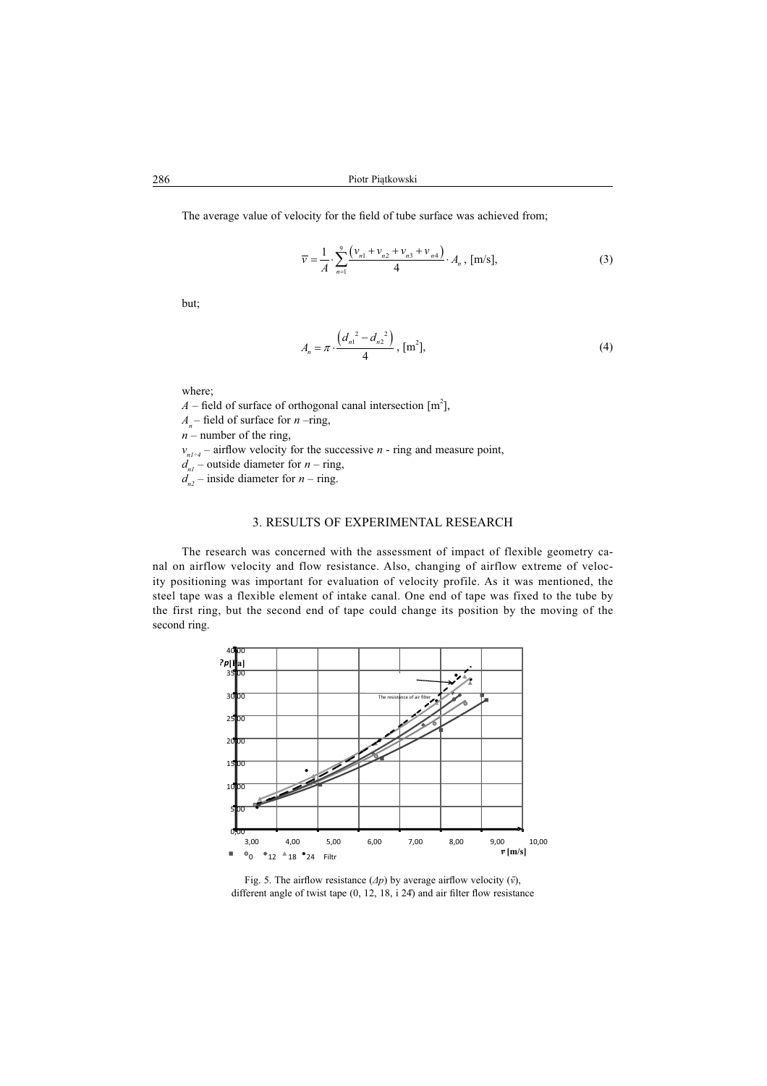The average value of velocity for the field of tube surface was achieved from;

$$
\overline{\nu} = \frac{1}{A} \cdot \sum_{n=1}^{9} \frac{\left(\nu_{n1} + \nu_{n2} + \nu_{n3} + \nu_{n4}\right)}{4} \cdot A_n, \, [\text{m/s}],\tag{3}
$$

but;

$$
A_n = \pi \cdot \frac{\left(d_{n1}^2 - d_{n2}^2\right)}{4}, \, \text{[m}^2\text{]}, \tag{4}
$$

where;

 $A$  – field of surface of orthogonal canal intersection [m<sup>2</sup>],

 $A_n$ – field of surface for *n* –ring,

 $n$  – number of the ring,

 $v_{n1+i}$  – airflow velocity for the successive *n* - ring and measure point,

 $d_{n1}^n$  – outside diameter for *n* – ring,

 $d_{n2}^{n}$  – inside diameter for *n* – ring.

#### 3. RESULTS OF EXPERIMENTAL RESEARCH

The research was concerned with the assessment of impact of flexible geometry canal on airflow velocity and flow resistance. Also, changing of airflow extreme of velocity positioning was important for evaluation of velocity profile. As it was mentioned, the steel tape was a flexible element of intake canal. One end of tape was fixed to the tube by the first ring, but the second end of tape could change its position by the moving of the second ring.



Fig. 5. The airflow resistance  $(\Delta p)$  by average airflow velocity  $(\bar{v})$ , different angle of twist tape  $(0, 12, 18, i 24)$  and air filter flow resistance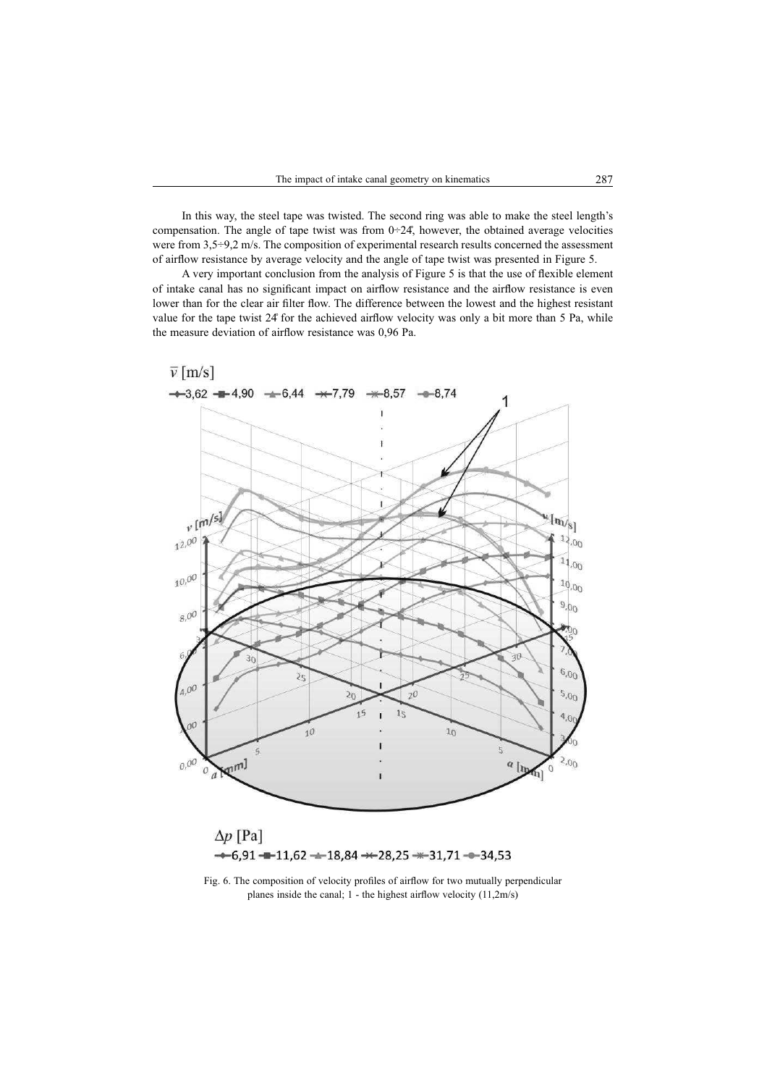In this way, the steel tape was twisted. The second ring was able to make the steel length's compensation. The angle of tape twist was from  $0\div 24$ , however, the obtained average velocities were from 3,5÷9,2 m/s. The composition of experimental research results concerned the assessment of airflow resistance by average velocity and the angle of tape twist was presented in Figure 5.

A very important conclusion from the analysis of Figure 5 is that the use of flexible element of intake canal has no significant impact on airflow resistance and the airflow resistance is even lower than for the clear air filter flow. The difference between the lowest and the highest resistant value for the tape twist 24° for the achieved airflow velocity was only a bit more than 5 Pa, while the measure deviation of airflow resistance was 0,96 Pa.



Fig. 6. The composition of velocity profiles of airflow for two mutually perpendicular planes inside the canal;  $1$  - the highest airflow velocity  $(11,2m/s)$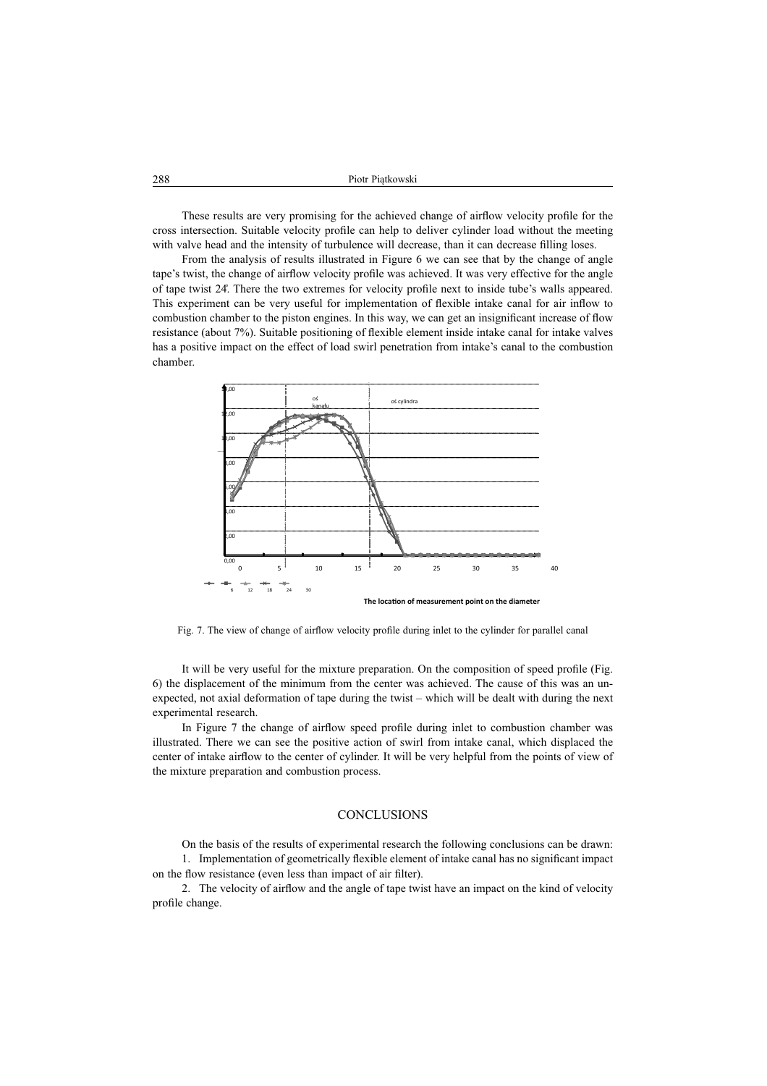| 288 | Piotr Piatkowski |
|-----|------------------|
|     |                  |

These results are very promising for the achieved change of airflow velocity profile for the cross intersection. Suitable velocity profile can help to deliver cylinder load without the meeting with valve head and the intensity of turbulence will decrease, than it can decrease filling loses.

From the analysis of results illustrated in Figure 6 we can see that by the change of angle tape's twist, the change of airflow velocity profile was achieved. It was very effective for the angle of tape twist 24. There the two extremes for velocity profile next to inside tube's walls appeared. This experiment can be very useful for implementation of flexible intake canal for air inflow to combustion chamber to the piston engines. In this way, we can get an insignificant increase of flow resistance (about 7%). Suitable positioning of flexible element inside intake canal for intake valves has a positive impact on the effect of load swirl penetration from intake's canal to the combustion chamber.



Fig. 7. The view of change of airflow velocity profile during inlet to the cylinder for parallel canal

It will be very useful for the mixture preparation. On the composition of speed profile (Fig. 6) the displacement of the minimum from the center was achieved. The cause of this was an unexpected, not axial deformation of tape during the twist – which will be dealt with during the next experimental research.

In Figure 7 the change of airflow speed profile during inlet to combustion chamber was illustrated. There we can see the positive action of swirl from intake canal, which displaced the center of intake airflow to the center of cylinder. It will be very helpful from the points of view of the mixture preparation and combustion process.

### **CONCLUSIONS**

On the basis of the results of experimental research the following conclusions can be drawn: 1. Implementation of geometrically flexible element of intake canal has no significant impact on the flow resistance (even less than impact of air filter).

2. The velocity of airflow and the angle of tape twist have an impact on the kind of velocity profile change.